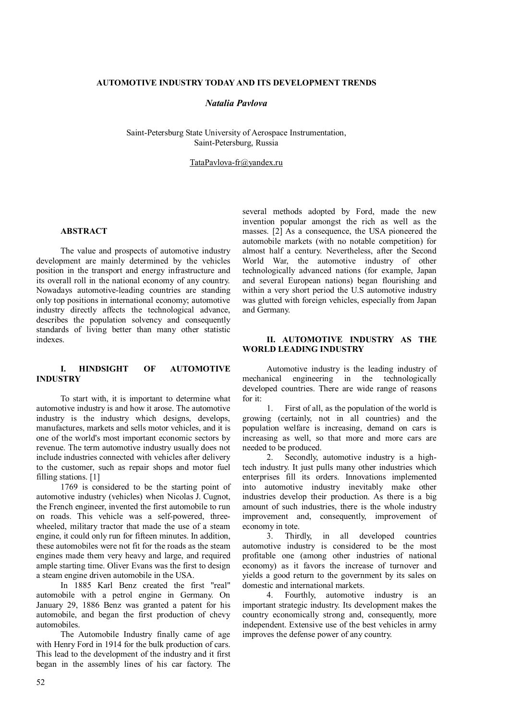# **AUTOMOTIVE INDUSTRY TODAY AND ITS DEVELOPMENT TRENDS**

### *Natalia Pavlova*

Saint-Petersburg State University of Aerospace Instrumentation, Saint-Petersburg, Russia

TataPavlova-fr@yandex.ru

# **ABSTRACT**

The value and prospects of automotive industry development are mainly determined by the vehicles position in the transport and energy infrastructure and its overall roll in the national economy of any country. Nowadays automotive-leading countries are standing only top positions in international economy; automotive industry directly affects the technological advance, describes the population solvency and consequently standards of living better than many other statistic indexes.

### **I. HINDSIGHT OF AUTOMOTIVE INDUSTRY**

To start with, it is important to determine what automotive industry is and how it arose. The automotive industry is the industry which designs, develops, manufactures, markets and sells motor vehicles, and it is one of the world's most important economic sectors by revenue. The term automotive industry usually does not include industries connected with vehicles after delivery to the customer, such as repair shops and motor fuel filling stations. [1]

1769 is considered to be the starting point of automotive industry (vehicles) when Nicolas J. Cugnot, the French engineer, invented the first automobile to run on roads. This vehicle was a self-powered, threewheeled, military tractor that made the use of a steam engine, it could only run for fifteen minutes. In addition, these automobiles were not fit for the roads as the steam engines made them very heavy and large, and required ample starting time. Oliver Evans was the first to design a steam engine driven automobile in the USA.

In 1885 Karl Benz created the first "real" automobile with a petrol engine in Germany. On January 29, 1886 Benz was granted a patent for his automobile, and began the first production of chevy automobiles.

The Automobile Industry finally came of age with Henry Ford in 1914 for the bulk production of cars. This lead to the development of the industry and it first began in the assembly lines of his car factory. The

several methods adopted by Ford, made the new invention popular amongst the rich as well as the masses. [2] As a consequence, the USA pioneered the automobile markets (with no notable competition) for almost half a century. Nevertheless, after the Second World War, the automotive industry of other technologically advanced nations (for example, Japan and several European nations) began flourishing and within a very short period the U.S automotive industry was glutted with foreign vehicles, especially from Japan and Germany.

### **II. AUTOMOTIVE INDUSTRY AS THE WORLD LEADING INDUSTRY**

Automotive industry is the leading industry of mechanical engineering in the technologically developed countries. There are wide range of reasons for it:

1. First of all, as the population of the world is growing (certainly, not in all countries) and the population welfare is increasing, demand on cars is increasing as well, so that more and more cars are needed to be produced.

2. Secondly, automotive industry is a hightech industry. It just pulls many other industries which enterprises fill its orders. Innovations implemented into automotive industry inevitably make other industries develop their production. As there is a big amount of such industries, there is the whole industry improvement and, consequently, improvement of economy in tote.

3. Thirdly, in all developed countries automotive industry is considered to be the most profitable one (among other industries of national economy) as it favors the increase of turnover and yields a good return to the government by its sales on domestic and international markets.

4. Fourthly, automotive industry is an important strategic industry. Its development makes the country economically strong and, consequently, more independent. Extensive use of the best vehicles in army improves the defense power of any country.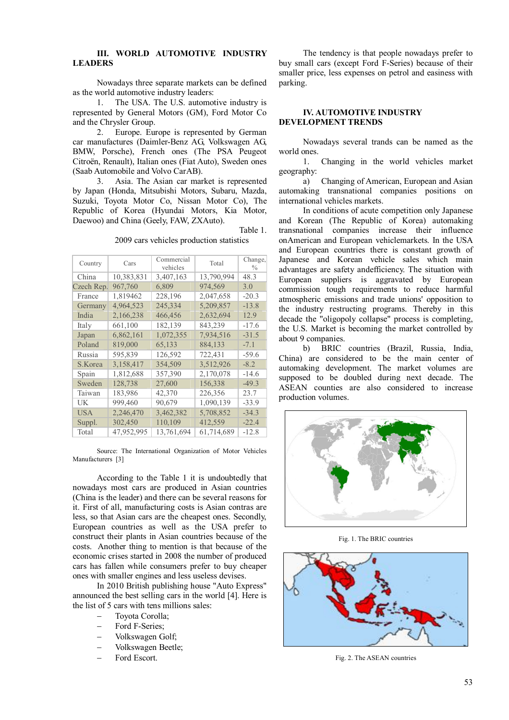# **III. WORLD AUTOMOTIVE INDUSTRY LEADERS**

Nowadays three separate markets can be defined as the world automotive industry leaders:

1. The USA. The U.S. automotive industry is represented by General Motors (GM), Ford Motor Co and the Chrysler Group.

2. Europe. Europe is represented by German car manufactures (Daimler-Benz AG, Volkswagen AG, BMW, Porsche), French ones (The PSA Peugeot Citroën, Renault), Italian ones (Fiat Auto), Sweden ones (Saab Automobile and Volvo CarAB).

3. Asia. The Asian car market is represented by Japan (Honda, Mitsubishi Motors, Subaru, Mazda, Suzuki, Toyota Motor Co, Nissan Motor Co), The Republic of Korea (Hyundai Motors, Kia Motor, Daewoo) and China (Geely, FAW, ZXAuto).

Table 1.

2009 cars vehicles production statistics

| Country    | Cars       | Commercial<br>vehicles | Total      | Change,<br>$\frac{0}{0}$ |
|------------|------------|------------------------|------------|--------------------------|
| China      | 10,383,831 | 3,407,163              | 13,790,994 | 48.3                     |
| Czech Rep. | 967,760    | 6,809                  | 974,569    | 3.0                      |
| France     | 1,819462   | 228,196                | 2,047,658  | $-20.3$                  |
| Germany    | 4,964,523  | 245,334                | 5,209,857  | $-13.8$                  |
| India      | 2,166,238  | 466,456                | 2,632,694  | 12.9                     |
| Italy      | 661,100    | 182,139                | 843,239    | $-17.6$                  |
| Japan      | 6,862,161  | 1,072,355              | 7,934,516  | $-31.5$                  |
| Poland     | 819,000    | 65,133                 | 884,133    | $-7.1$                   |
| Russia     | 595,839    | 126,592                | 722,431    | $-59.6$                  |
| S.Korea    | 3,158,417  | 354,509                | 3,512,926  | $-8.2$                   |
| Spain      | 1,812,688  | 357,390                | 2,170,078  | $-14.6$                  |
| Sweden     | 128,738    | 27,600                 | 156,338    | -49.3                    |
| Taiwan     | 183,986    | 42,370                 | 226,356    | 23.7                     |
| UK.        | 999,460    | 90,679                 | 1,090,139  | $-33.9$                  |
| USA        | 2,246,470  | 3,462,382              | 5,708,852  | $-34.3$                  |
| Suppl.     | 302,450    | 110,109                | 412,559    | $-22.4$                  |
| Total      | 47,952,995 | 13,761,694             | 61,714,689 | $-12.8$                  |
|            |            |                        |            |                          |

Source: The International Organization of Motor Vehicles Manufacturers [3]

According to the Table 1 it is undoubtedly that nowadays most cars are produced in Asian countries (China is the leader) and there can be several reasons for it. First of all, manufacturing costs is Asian contras are less, so that Asian cars are the cheapest ones. Secondly, European countries as well as the USA prefer to construct their plants in Asian countries because of the costs. Another thing to mention is that because of the economic crises started in 2008 the number of produced cars has fallen while consumers prefer to buy cheaper ones with smaller engines and less useless devises.

In 2010 British publishing house "Auto Express" announced the best selling cars in the world [4]. Here is the list of 5 cars with tens millions sales:

- Toyota Corolla;
- Ford F-Series;
- Volkswagen Golf;
- Volkswagen Beetle;
- Ford Escort.

The tendency is that people nowadays prefer to buy small cars (except Ford F-Series) because of their smaller price, less expenses on petrol and easiness with parking.

#### **IV. AUTOMOTIVE INDUSTRY DEVELOPMENT TRENDS**

Nowadays several trands can be named as the world ones.

1. Changing in the world vehicles market geography:

a) Changing of American, European and Asian automaking transnational companies positions on international vehicles markets.

In conditions of acute competition only Japanese and Korean (The Republic of Korea) automaking transnational companies increase their influence onAmerican and European vehiclemarkets. In the USA and European countries there is constant growth of Japanese and Korean vehicle sales which main advantages are safety andefficiency. The situation with European suppliers is aggravated by European commission tough requirements to reduce harmful atmospheric emissions and trade unions' opposition to the industry restructing programs. Thereby in this decade the "oligopoly collapse" process is completing, the U.S. Market is becoming the market controlled by about 9 companies.

b) BRIC countries (Brazil, Russia, India, China) are considered to be the main center of automaking development. The market volumes are supposed to be doubled during next decade. The ASEAN counties are also considered to increase production volumes.



Fig. 1. The BRIC countries



Fig. 2. The ASEAN countries